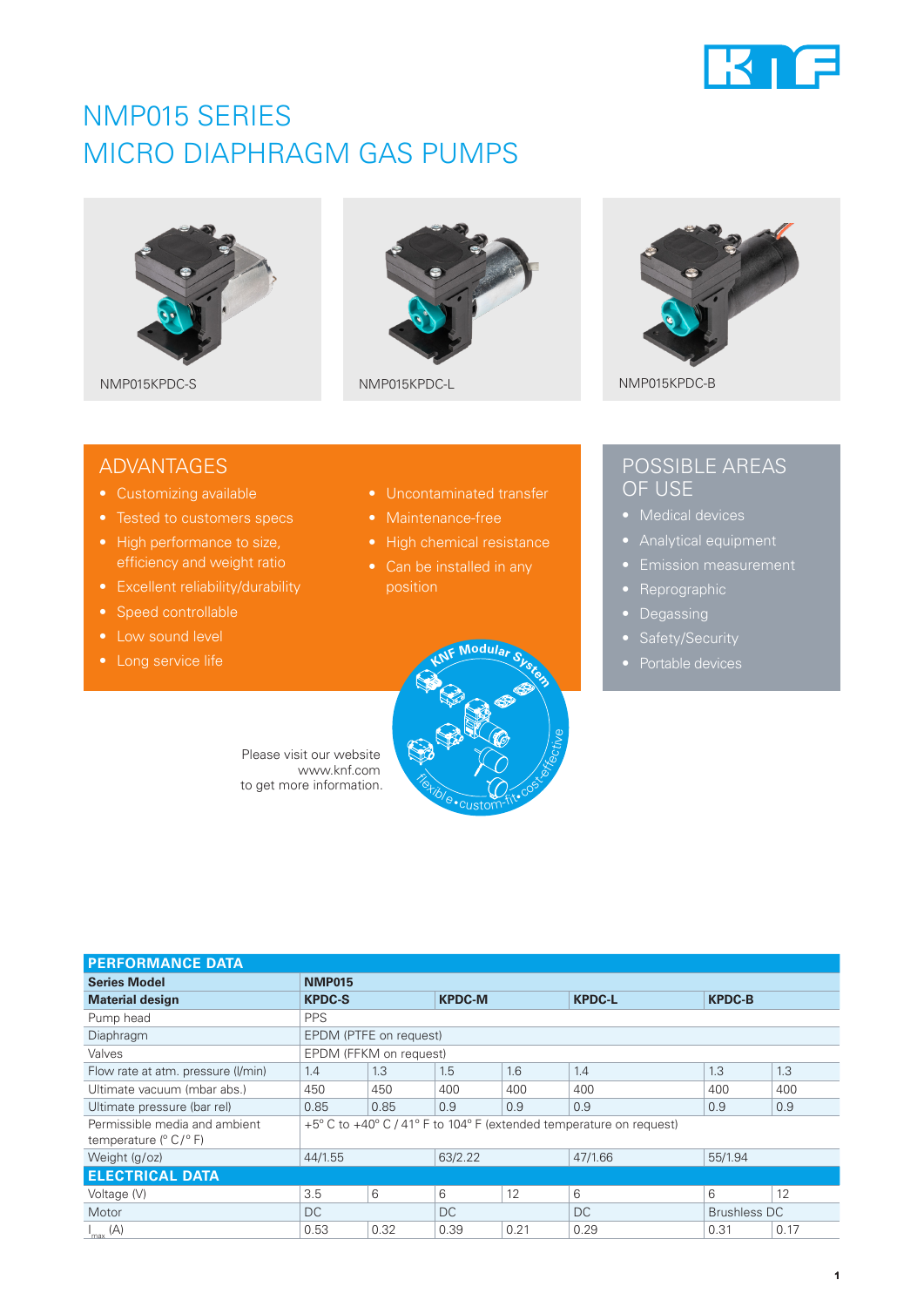

## NMP015 SERIES MICRO DIAPHRAGM GAS PUMPS







## ADVANTAGES

- Customizing available
- 
- High performance to size, efficiency and weight ratio
- Excellent reliability/durability
- Speed controllable
- Low sound level
- 
- Uncontaminated transfer
- 
- 
- position



## POSSIBLE AREAS OF USE

- 
- 
- 
- Reprographic
- Degassing
- 
- 

Please visit our website www.knf.com to get more information.

| <b>PERFORMANCE DATA</b>                                                   |                                                                     |      |               |                     |               |               |      |
|---------------------------------------------------------------------------|---------------------------------------------------------------------|------|---------------|---------------------|---------------|---------------|------|
| <b>Series Model</b>                                                       | <b>NMP015</b>                                                       |      |               |                     |               |               |      |
| <b>Material design</b>                                                    | <b>KPDC-S</b>                                                       |      | <b>KPDC-M</b> |                     | <b>KPDC-L</b> | <b>KPDC-B</b> |      |
| Pump head                                                                 | <b>PPS</b>                                                          |      |               |                     |               |               |      |
| Diaphragm                                                                 | EPDM (PTFE on request)                                              |      |               |                     |               |               |      |
| Valves                                                                    | EPDM (FFKM on request)                                              |      |               |                     |               |               |      |
| Flow rate at atm. pressure (I/min)                                        | 1.4                                                                 | 1.3  | 1.5           | 1.6                 | 1.4           | 1.3           | 1.3  |
| Ultimate vacuum (mbar abs.)                                               | 450                                                                 | 450  | 400           | 400                 | 400           | 400           | 400  |
| Ultimate pressure (bar rel)                                               | 0.85                                                                | 0.85 | 0.9           | 0.9                 | 0.9           | 0.9           | 0.9  |
| Permissible media and ambient<br>temperature $(^{\circ}$ C/ $^{\circ}$ F) | +5° C to +40° C / 41° F to 104° F (extended temperature on request) |      |               |                     |               |               |      |
| Weight (g/oz)                                                             | 63/2.22<br>44/1.55                                                  |      |               | 47/1.66             | 55/1.94       |               |      |
| <b>ELECTRICAL DATA</b>                                                    |                                                                     |      |               |                     |               |               |      |
| Voltage (V)                                                               | 3.5                                                                 | 6    | 6             | 12                  | 6             | 6             | 12   |
| Motor                                                                     | DC<br>DC.                                                           |      | <b>DC</b>     | <b>Brushless DC</b> |               |               |      |
| $I_{\text{max}}(A)$                                                       | 0.53                                                                | 0.32 | 0.39          | 0.21                | 0.29          | 0.31          | 0.17 |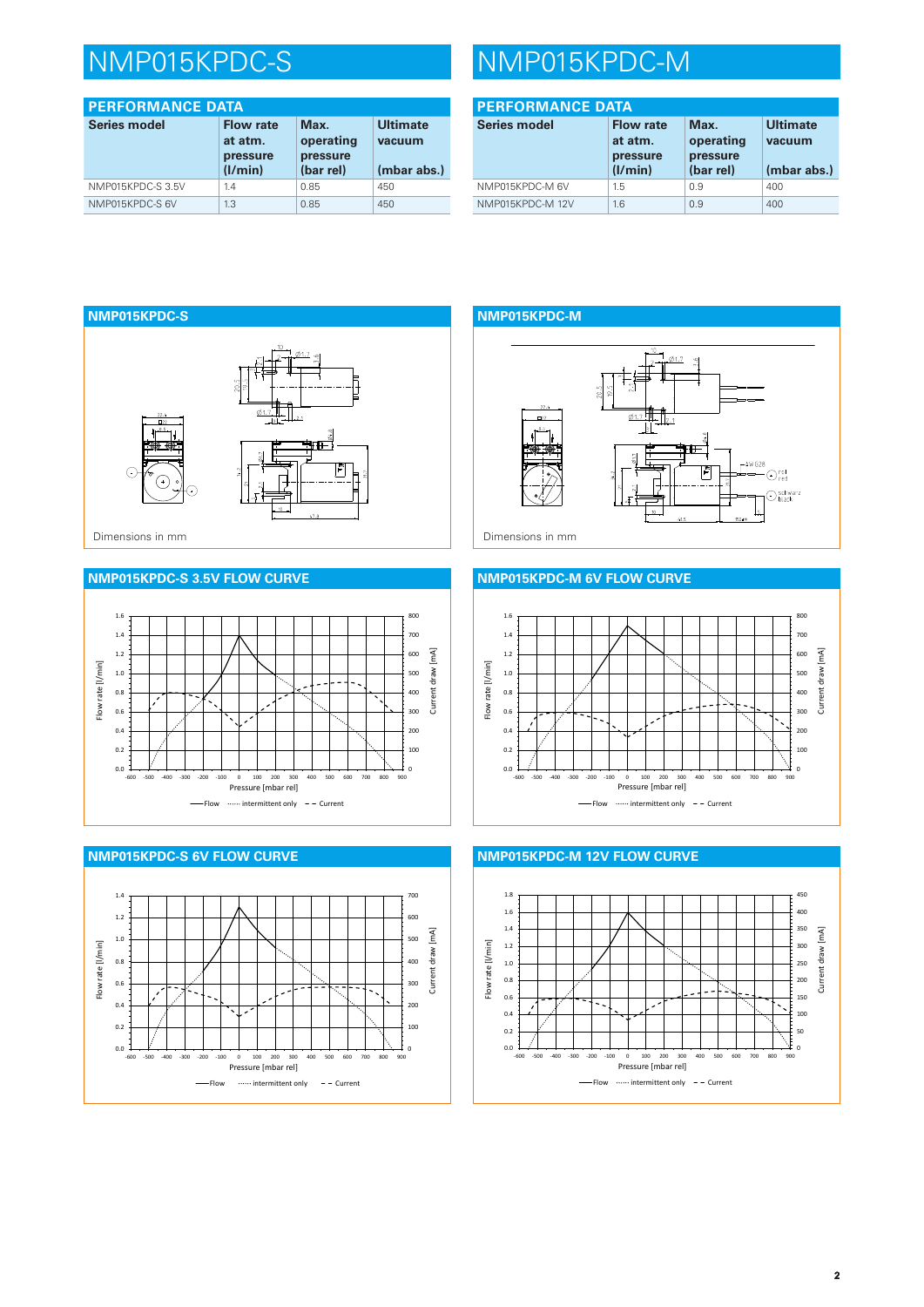# NMP015KPDC-S NMP015KPDC-M

| <b>PERFORMANCE DATA</b> |                                                    |                                            |                                          |
|-------------------------|----------------------------------------------------|--------------------------------------------|------------------------------------------|
| <b>Series model</b>     | <b>Flow rate</b><br>at atm.<br>pressure<br>(I/min) | Max.<br>operating<br>pressure<br>(bar rel) | <b>Ultimate</b><br>vacuum<br>(mbar abs.) |
| NMP015KPDC-S3.5V        | 1.4                                                | 0.85                                       | 450                                      |
| NMP015KPDC-S 6V         | 1.3                                                | 0.85                                       | 450                                      |

| <b>PERFORMANCE DATA</b> |                                                    |                                            |                                          |
|-------------------------|----------------------------------------------------|--------------------------------------------|------------------------------------------|
| <b>Series model</b>     | <b>Flow rate</b><br>at atm.<br>pressure<br>(1/min) | Max.<br>operating<br>pressure<br>(bar rel) | <b>Ultimate</b><br>vacuum<br>(mbar abs.) |
| NMP015KPDC-M 6V         | 1.5                                                | 0.9                                        | 400                                      |
| NMP015KPDC-M 12V        | 1.6                                                | 0.9                                        | 400                                      |



### **NMP015KPDC-S 3.5V FLOW CURVE**





### **NMP015KPDC-M**





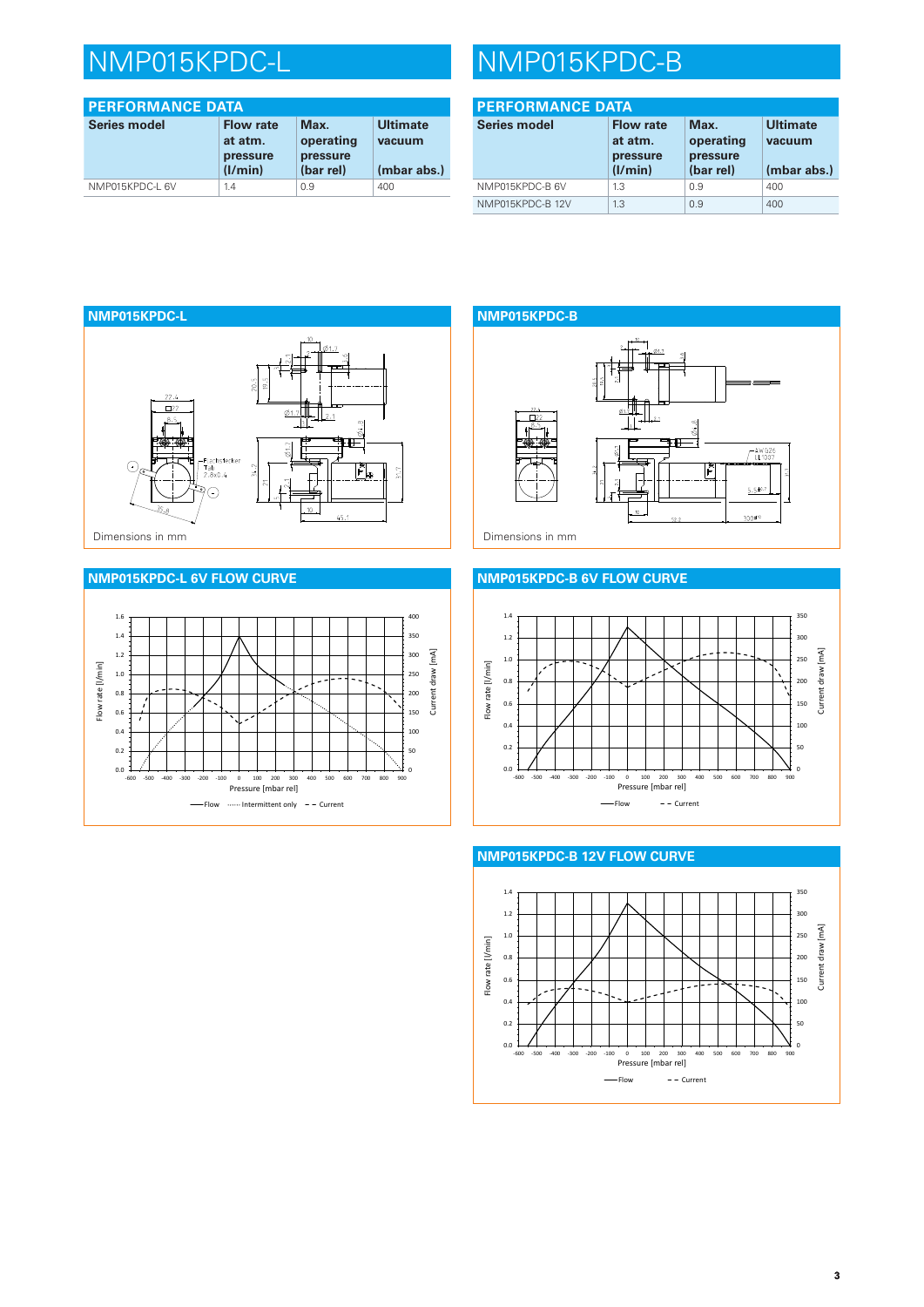| <b>PERFORMANCE DATA</b> |                                                    |                                            |                                          |  |
|-------------------------|----------------------------------------------------|--------------------------------------------|------------------------------------------|--|
| <b>Series model</b>     | <b>Flow rate</b><br>at atm.<br>pressure<br>(1/min) | Max.<br>operating<br>pressure<br>(bar rel) | <b>Ultimate</b><br>vacuum<br>(mbar abs.) |  |
| NMP015KPDC-L 6V         | 1.4                                                | 0.9                                        | 400                                      |  |

# NMP015KPDC-L NMP015KPDC-B

| <b>PERFORMANCE DATA</b> |                                                    |                                            |                                          |
|-------------------------|----------------------------------------------------|--------------------------------------------|------------------------------------------|
| Series model            | <b>Flow rate</b><br>at atm.<br>pressure<br>(I/min) | Max.<br>operating<br>pressure<br>(bar rel) | <b>Ultimate</b><br>vacuum<br>(mbar abs.) |
| NMP015KPDC-B 6V         | 1.3                                                | 0.9                                        | 400                                      |
| NMP015KPDC-B 12V        | 1.3                                                | 0.9                                        | 400                                      |



### **NMP015KPDC-L 6V FLOW CURVE**



## **NMP015KPDC-B**  $\frac{1}{24.8}$ 电 AW G26  $5.5 \pm 0.7$ m.  $300*$

### **NMP015KPDC-B 6V FLOW CURVE**





### **NMP015KPDC-B 12V FLOW CURVE**

**3**